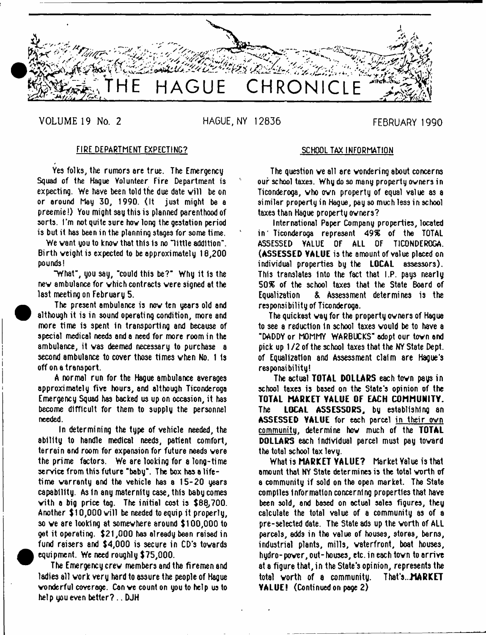

**•** 

VOLUME 19 No. 2 HAGUE, NY 12836 FEBRUARY 1990

## FIRE DEPARTMENT EXPECTING?

Yes folks, the rumors are true. The Emergency Squad of the Hague Volunteer Fire Department is expecting. We have been told the due date will be on or around May 30, 1990. (It just might be a preemie!) You might say this is planned parenthood of sorts. I'm not quite sure hov long the gestation period is but it has been in the planning stages for some time.

We vant you to knov that this is no "little addition". Birth veight is expected to be approximately 18,200 pounds!

"What", you say, "could this be?" Why it is the nev ambulance for vhich contracts vere signed at the last meeting on February 5.

 The present ambulance is nov ten years old and although it is in sound operating condition, more and more time is spent in transporting and because of special medical needs and a need for more room in the ambulance, it was deemed necessary to purchase a second ambulance to cover those times vhen No. 1 is off on a transport.

A normal run for the Hague ambulance averages approximately five hours, and although Ticonderoga Emergency Squad hss backed us up on occasion, it has become difficult for them to supply the personnel needed.

In determining the type of vehicle needed, the ability to handle medical needs, patient comfort, terrain and room for expansion for future needs vere the prime factors. We are looking for a long-time service from this future "baby". The box has a lifetime warranty and the vehicle has a 15-20 years capability. As In any maternity case, this baby comes vith a big price tag. The initial cost is \$68,700. Another  $$10,000$  will be needed to equip it properly, so ve are looking at somewhere around \$100,000 to get it operating. \$21,000 has already been raised in fund raisers and \$4,000 is secure in CD's towards equipment. We need roughly \$75,000.

The Emergency crew members and the firemen and ladies all work very hard to assure the people of Hague wonderful coverage. Can ve count on you to help us to help you even better? .. DJH

## SCHOOL TAX INFORMATION

The question ve all are wondering about concerns our school taxes. Why do so many property owners in Ticonderoga, who own property of equal value as a similar property in Hague, pay so much less in school taxes than Hague property owners?

International Paper Company properties, located in ' Ticonderoga represent 49% of the TOTAL ASSESSED YALUE OF ALL OF TICONDEROGA. (ASSESSED VALUE is the amount of value placed on individual properties by the LOCAL assessors). This translates Into the fact that I.P. pays nearly 50% of the school taxes that the State Board of Equalization & Assessment determines is the responsibility of Ticonderoga.

The quickest way for the property owners of Hague to see a reduction In school taxes would be to have a "DADDY or MOMMY WARBUCKS" adopt our town and pick up 1 /2 of the school taxes that the NY State Dept, of Equalization and Assessment claim are Hague's responsibility!

The actual TOTAL DOLLARS each town pays in school taxes is based on the State's opinion of the TOTAL MARKET VALUE OF EACH COMMUNITY. The LOCAL ASSESSORS, by establishing an ASSESSED VALUE for each parcel in their own communitu. determine hov much of the TOTAL DOLLARS each individual parcel must pay toward the total school tax levy.

What is MARKET VALUE? Market Value is that amount that NY State determines is the total worth of a community if sold on the open market. The State compiles Information concerning properties that have been sold, and based on actual sales figures, they calculate the total value of a community as of a pre-selected date. The State ad3 up the worth of ALL parcels, adds in the velue of houses, stores, barns, industrial plants, mills, waterfront, boat houses, hydro-power, out-houses, etc. in each town to arrive at a figure that, in the State's opinion, represents the total worth of a community. That\*s..MARKET VALUE! (Continuedon page 2)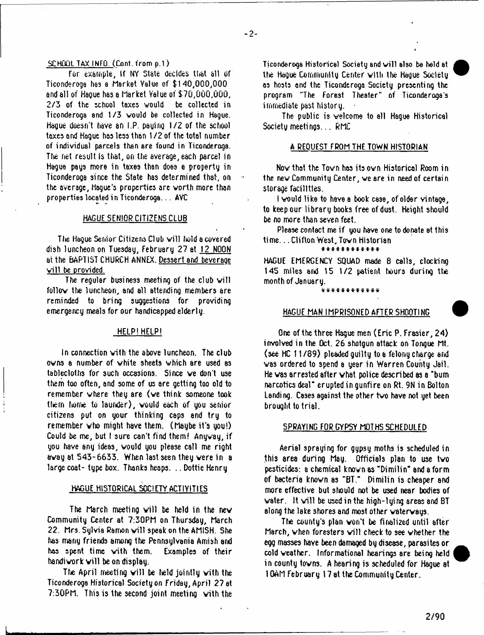### SCHOOL TAX INFO. (Cont. from p.1)

For example, if NY State decides that all of Ticonderoga has a Market Yalue of \$140,000,000 and all of Hague has a Market Yalue of \$70,000,000, 2/3 of the school taxes would be collected in Ticonderoga and 1/3 would be collected in Hague. Hague doesn't have an I.P. paging 1/2 of the school taxes and Hague has less than 1 /2 of the total number of individual parcels than are found in Ticonderoga. The net result is that, on the average, each parcel in Hague pays more in taxes than does a property in Ticonderoga since the State has determined that, on the overage, Hogue's properties ore worth more thon properties located in Ticonderoga... AVC

## HAGUE SENIOR CITIZENS CLUB

The Hague Senior Citizens Cl ub will hold a covered dish luncheon on Tuesday, February 27 at 12 NOON at the BAPTIST CHURCH ANNEX. Dessert and beverage will be provided.

The regular business meeting of the club will follow the luncheon, and all attending members are reminded to bring suggestions for providing emergency meals for our handicapped elderly.

## HELP!HELP!

In connection vith the above luncheon. The club owns a number of white sheets which are used as tablecloths for such occasions. Since ve don't use them too often, and some of us are getting too old to remember where they are (ve think someone took them home tu launder), would each of you senior citizens put on your thinking caps and try to remember who might have them. (Maybe it's you!) Could be me, but I sure can't find them! Anyway, if you have any ideas, would you please call me right away at 543-6633. When last seen they vere in a large coat- type box. Thanks heaps. .. Dottie Henry

## HAGUE HISTORICAL SOCIETY ACTIVITIES

The March meeting will be held in the new Community Center at 7:30PM on Thursday, March 22. Mrs. Sylvia Ramon will speak on the AMISH. She has many friends among the Pennsylvania Amish and has spent time vith them. Examples of their handiwork will be on display.

The April meeting will be held jointly with the Ticonderoga Historical Society on Friday,April 27 at 7:30PM. This is the second joint meeting vith the

Ticonderoga Historical Society and will also be held at the Hague Community Center vith the Hague Society os hosts and the Ticonderoga Society presenting the program "The Forest Theater" of Ticonderoga s immediate past history.

The public is welcome to all Hague Historical Society meetings... RMC

### A REQUEST FROM THE TOWN HISTORIAN

Nov that the Town has its own Historical Room in the new Community Center, ve are in need of certain storage facilities.

I vould like to have a book case, of older vintage, to keep our library books free of dust. Height should be no more than seven feet.

Please contact me if you have one to donate at this time... Clifton West, Town Historian

## \* \* \* \* \* \* \* \* \* \* \* \*

HAGUE EMERGENCY SQUAD made 8 calls, clocking 145 miles and 15 1/2 patient hours during the month of January.

\* \* \* \* \* \* \* \* \* \* \* \*

## HAGUE MAN IMPRISONED AFTER SHOOTING

One of the three Hague men (Eric P. Frasier, 24) involved in the Oct. 26 shotgun sttack on Tongue Mt. (see HC 11 /39) pleaded guilty to a felony charge and vas ordered to spend a year in Warren County Jail. He vas arrested after vhat police described as a "bum narcotics deal" erupted in gunfire on Rt. 9N in Bolton Landing. Cases against the other two have not yet been brought to trial.

### SPRAYING FOR GYPSY MOTHS SCHEDULED

Aerial spraying for gypsy moths is scheduled in this area during May. Officials plan to use tvo pesticides: a chemical knovn as "Dimilin" and a form of bacteria knovn as "BT." Dimilin is cheaper and more effective but should not be used near bodies of water. It will be used in the high-lying areas and BT along the lake shores and most other vatervays.

The county's plan von't be finalized until after March, when foresters will check to see whether the egg masses have been damaged by disease, parasites or cold veather. Informational hearings are being held in county tovns. A hearing is scheduled for Hague at 10AM February 17 at the Community Center.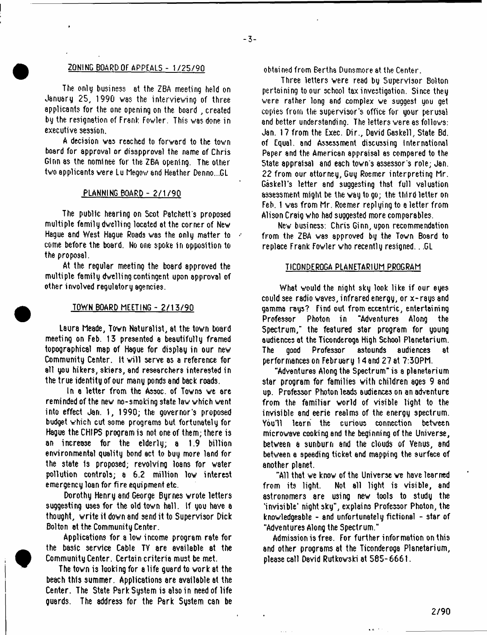## ZONING BOARD OF APPEALS - 1/25/90

The only business st the ZBA meeting held on January 25, 1990 wss the interviewing of three applicants for the one opening on the board , created by the resignation of Frank Fowler. This was done in executive session.

A decision vas reached to forward to the town board for approval or disapproval the name of Chris Ginn 8S the nominee for the ZBA opening. The other two applicants were Lu Megow end Heather Denno...GL

## PLANNING BOARD - 2/1/90

The public hearing on Scot Patchett's proposed multiple family dwelling located at the corner of New Haque and West Haque Roads was the only matter to come before the board. No one spoke in opposition to the proposal.

At the regular meeting the board approved the multiple family dwelling contingent upon approval of other involved regulatory agencies.

## TOWN BOARD MEETING - 2/13/90

Laura Meade, Town Naturalist, at the town board meeting on Feb. 13 presented a beautifully framed topographical msp of Hague for display in our new Community Center. It will serve as a reference for all you hikers, skiers, and researchers interested in the true identity of our many ponds and back roads.

In a letter from the Assoc, of Towns we are reminded of the new no-smoking state law which went into effect Jan. 1, 1990; the governor's proposed budget which cut some programs but fortunately for Hague the CHIPS program is not one of them; there is an increase for the elderly; a 1.9 billion environmental quality bond act to buy more land for the state 1s proposed; revolving loans for water pollution controls; a 6.2 million low interest emergency loan for fi re equi pment etc.

Dorothy Henry and George Byrnes wrote letters suggesting uses for the old town hall. If you have a thought, write it down and send it to Supervisor Dick Bolton at the Community Center.

Applications for a low income program rate for the basic service Cable TV are available at the Community Center. Certain criteria must be met.

The town is looking for a life guard to work at the beach this summer. Applications are available at the Center. The State Park System is also in need of life guards. The address for the Park Sustem can be

obtained from Bertha Dunsmore at the Center.

Three letters were read by Supervisor Bolton pertaining to our school tax investigation. Since they were rather long and complex we suggest you get copies from the supervisor's office for your perusal and better understanding. The letters were as follows: Jan. 17 from the Exec. Dir., David Gaskell, State Bd. of Equal, and Assessment discussing International Paper and the American appraisal as compared to the State appraisal and each town's assessor's role; Jan. 22 from our attorney, Guy Roemer interpreting Mr. Gaskell's letter and suggesting that full valuation assessment might be the way to go; the third letter on Feb. 1 was from Mr. Roemer replying to a letter from Alison Craig who had suggested more comparables.

New business: Chris Ginn, upon recommendation from the ZBA was approved by the Town Board to replace Frank Fowler who recently resigned.. .GL

### TICONDEROGA PLANETARIUM PROGRAM

What would the night sky look like if our eyes could see radio waves, infrared energy, or x-rays and gamma rays? Find out from eccentric, entertaining Professor Photon in "Adventures Along the Spectrum," the featured star program for young audiences at the Ticonderoga High School Planetarium. The good Professor astounds audiences at performances on February 14 and 27 at 7:30PM.

"Adventures Along the Spectrum" is a planetarium star program for families with children ages 9 and up. Professor Photon leads audiences on an adventure from the familiar world of visible light to the invisible and eerie realms of the energy spectrum. You'll learn the curious connection between microwave cooking and the beginning of the Universe, between a sunburn and the clouds of Venus, 8nd between a speeding ticket end mapping the surface of another planet.

"All that we know of the Universe ve have learned from its light. Not all light is visible, and astronomers are using new tools to studg the 'invisible' night sky", explains Professor Photon, the knowledgeable - and unfortunately fictional - star of "Adventures Along the Spectrum."

Admission is free. For further information on this and other programs at the Ticonderoga Planetarium, please call David Rutkowski at 585-6661.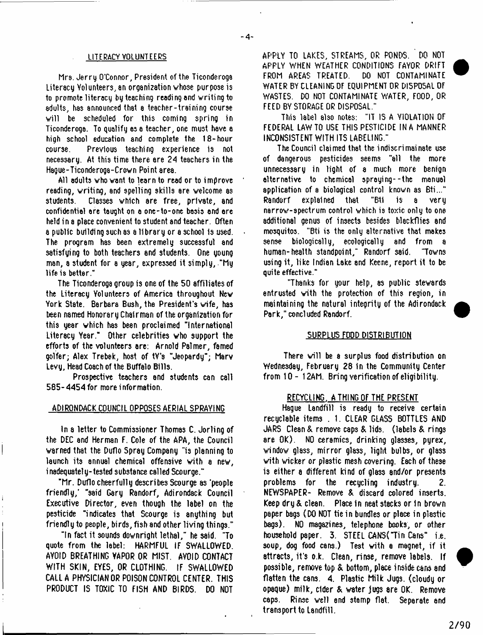## LITERACY VOLUNTEERS

Mrs. Jerry O'Connor, President of the Ticonderoga Literacy Volunteers, an organization whose purpose is to promote literacy by teaching reading and writing to adults, has announced that a teacher-training course will be scheduled for this coming spring in Ticonderoga. To qualify as a teacher, one must hsve a high school education and complete the 18-hour Previous teaching experience is not necessary. At this time there ere 24 teachers in the Hague-Ticonderoga-Crovn Point area.

All adults vho vant to learn to read or to improve reading, writing, and spelling skills are welcome as students. Classes which are free, private, and confidential ere taught on a one-to-one basis end ere held in a place convenient to student and teacher. Often a public building such as a library or a school 1s used. The program has been extremely successful and satisfuing to both teachers and students. One young man, a student for a year, expressed it simply, "My life is better.\*1

The Ticonderoga group is one of the 50 affiliates of the Literacy Volunteers of America throughout New York State. Barbara Bush, the President's wife, has been named Honorary Chairman of the organization for this year which has been proclaimed "International Literacy Year." Other celebrities vho support the efforts of the volunteers are: Arnold Palmer, famed golfer; Alex Trebek, host of tV's "Jeopardy"; Marv Levy, He8d Coach of the Buffalo Bills.

Prospective teachers and students can call 585-4454 for more information.

### ADIRONDACK COUNCIL OPPOSES AERIAL SPRAYING

In a letter to Commissioner Thomas C. Jorling of the DEC and Herman F. Cole of the APA, the Council warned that the Duflo Spray Company "is planning to launch its annual chemical offensive vith a new, inadequately-tested substance called Scourge."

"Mr. Duflo cheerfully describes Scourge as 'people friendly,' "said Gary Randorf, Adirondack Council Executive Director, even though the label on the pesticide "indicates that Scourge is anything but friendly to people, birds, fish and other living things."

"In fact it sounds downright lethal," he said. "To quote from the label: HARMFUL IF SWALLOWED. AVOID BREATHING YAPOR OR MIST. AVOID CONTACT WITH SKIN, EYES, OR CLOTHING. IF SWALLOWED CALI A PHYSICIAN OR POISON CONTROL CENTER. THIS PRODUCT IS TOXIC TO FISH AND BIRDS. DO NOT

APPLY TO LAKES, STREAMS, OR PONDS. DO NOT APPLY WHEN WEATHER CONDITIONS FAYOR DRIFT<br>FROM AREAS TREATED. DO NOT CONTAMINATE FROM AREAS TREATED. WATER BY CLEANING OF EQUIPMENT OR DISPOSAL OF WASTES. DO NOT CONTAMINATE WATER, FOOD, OR FEED BY STORAGE OR DISPOSAL."

This label also notes: "IT IS A VIOLATION OF FEDERAL LAW TO USE THIS PESTICIDE IN A MANNER INCONSISTENT WITH ITS LABELING."

The Council claimed that the indiscrimainate use of dangerous pesticides seems "all the more unnecessary in light of a much more benign alternative to chemical spraying--the manual application of a biological control known as Bti..." Randorf explained that "Bti is a very narrow-spectrum control which is toxic only to one additional genus of insects besides blackflies 8nd mosquitos. "Bti is the only alternative that makes sense biologically, ecologically and from a human-health standpoint," Randorf said. "Towns using it, like Indian Lake and Keene, report it to be quite effective."

"Thanks for your help, as public stewards entrusted with the protection of this region, in maintaining the natural integrity of the Adirondack Park," concluded Randorf.

## SURPLUS FOOD DISTRIBUTION

There will be a surplus food distribution on Wednesday, February 28 in the Community Center from 10- 12AM. Bring verification of eligibility.

## RECYCLING. A THING OF THE PRESENT

Hague Landfill is ready to receive certain recyclable items . 1. CLEAR GLASS BOTTLES AND JARS Clean & remove caps & lids, (labels & rings are OK). NO ceramics, drinking glasses, pyrex, window glass, mirror glass, light bulbs, or glass vith wicker or plastic mesh covering. Each of these is either a different kind of glass and/or presents problems for the recycling industry. 2. NEWSPAPER- Remove & discard colored inserts. Keep dry & clean. Place in neat stacks or in brown paper bags (DO NOT tie in bundles or plsce in plastic bags). NO magazines, telephone books, or other household paper. 3. STEEL CANS("Tin Cans" i.e. soup, dog food cans.) Test vith a magnet, if it attracts, it's o.k. Clean, rinse, remove labels. If possible, remove top & bottom, place inside cans and flatten the cans. 4. Plsstic Milk Jugs, (cloudy or opaque) milk, elder & W8ter jugs are OK. Remove C8ps. Rinse well and stamp flat. Separate and transport to Landfill.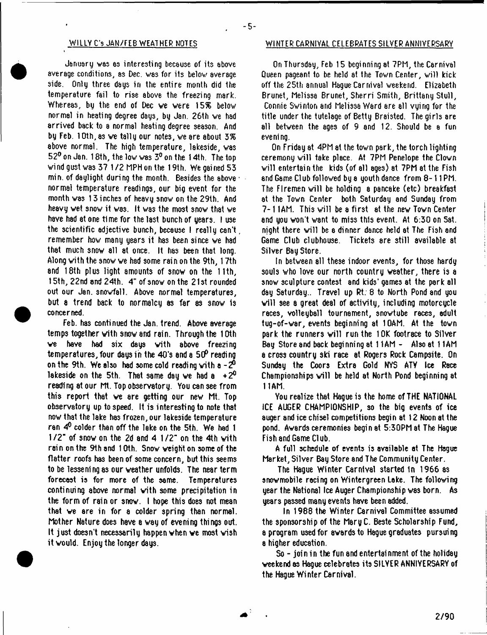January was as interesting because of its above average conditions, as Dec. was for its below average side. Only three days in the entire month did the temperature fail to rise above the freezing mark. Whereas, by the end of Dec we vere *\S%* below normal in heating degree days, by Jan. 26th ve had arrived back to a normal heating degree season. And by Feb. 1 Oth, as we tally our notes, we are about 3% above normal. The high temperature, lakeside, was 52° on Jan. 18th, the low was 3° on the 14th. The top wind gust was 37 1 /2 MPH on the 19th. We gained 53 min. of daylight during the month. Besides the above  $\cdot$ normal temperature readings, our big event for the month was 13 inches of hesvy snow on the 29th. And heavy wet snow it was. It was the most snow that we have had at one time for the last bunch of years. I use the scientific adjective bunch, because I really can't , remember how many years it hss been since we had that much snow all at once. It has been that long. Along vith the snow ve had some rain on the 9th, 17th and 18th plus light amounts of snow on the 11th, 15th, 22nd and 24th. 4" of snow on the 21 st rounded out our Jan. snowfall. Above normal temperatures, but a trend back to normalcy as far as snow is concerned.

Feb. has continued the Jan. trend. Above average temps together with snow and rain. Through the 10th ve have had six dsys with above freezing temperatures, four days in the 40\*s and a 5C*P* reading on the 9th. We also had some cold reading with a  $-2^0$ lakeside on the 5th. That same day we had a  $+2^0$ reading at our Mt. Top observatory. You can see from this report that ve are getting our new Mt. Top observatory up to speed. It is interesting to note that now that the lake has frozen, our lakeside temperature ran 4° colder than off the lake on the 5th. We had 1 1 /2" of snow on the 2d and 4 1 /2" on the 4th with rein on the 9th end 10th. Snow weight on some of the flatter roofs has been of some concern, but this seems to be lessening as our weather unfolds. The near term forecast is for more of the same. Temperatures continuing above normal with some precipitation in the form of rain or snow. I hope this does not mean that ve are in for a colder spring than normal. Mother Nature does hsve a way of evening things out. It just doesn't necessarily happen when ve most wish it would. Enjoy the longer days.

## **WILLY C's JAN/FEB WEATHER NOTES WINTER CARNIVAL CELEBRATES SILVER ANNIVERSARY**

On Thursday, Feb 15 beginning at 7PM, the Carnival Queen pageant to be held at the Town Center, will kick off the 25th annual Hague Carnival weekend. Elizabeth Brunet, Melissa Brunet, Sherri Smith, Brittany Stull, Connie Swinton and Melissa Ward are all vying for the title under the tutelage of Betty Braisted. The girls are all between the ages of 9 and 12. Should be a fun eveni ng.

On Friday at 4PM at the town psrk, the torch lighting ceremony will take place. At 7PM Penelope the Clown will entertain the kids (of all ages) at 7PM at the Fish and Game Cl ub followed by a youth dance from 8 - 11 PM. The Firemen will be holding a pancake (etc) breakfast at the Town Center both Saturday and Sunday from 7-11AM. This will be a first at the new Town Center and you won't W8nt to miss this event. At 6:30 on Sat. night there will be a dinner dance held at The Fish and Game Club clubhouse. Tickets ere still available at Silver Bay Store.

In between all these indoor events, for those hardy souls who love our north country weather, there is a snow sculpture contest and kids' games at the park all day Saturday.. Travel up Rt: 8 to North Pond and you will see a great deal of activity, including motorcycle races, volleyball tournament, snowtube rece3, adult tug-of-war, events beginning at 10AM. At the town park the runners will run the 10K footrace to Silver Bay Store and back begi nni ng at 11 AM - Also at 11AM a cross country ski rsce at Rogers Rock Campsite. On Sunday the Coors Extra Gold NYS ATV Ice Race Championships will be held at North Pond beginning at 11AM.

You realize that Hague is the home of THE NATIONAL ICE AUGER CHAMPIONSHIP, so the big events of ice auger and ice chisel competitions begin at 12 Noon at the pond. Awards ceremonies begin at 5:30PM at The Hague Fish and Game Club.

A full schedule of events is available at The Hague Market, Silver Bay Store and The Community Center.

The Hague Winter Carnival started in 1966 8s snowmobile racing on Wintergreen Lake. The following year the National Ice Auger Championship was born. As years passed many events have been added.

In 1988 the Winter Carnival Committee assumed the sponsorship of the MaryC. Beste Scholarship Fund, a program used for awards to Hague graduates pursuing a higher education.

So - join in the fun and entertainment of the holiday weekend as Hague celebrates its SILYER ANNIVERSARY of the Hague Winter Carnival.

 $-5-$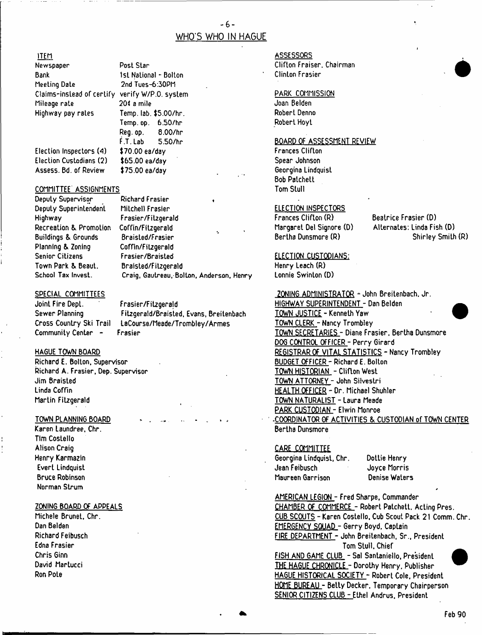## $-6-$ WHO'S WHO IN HAGUE

## ITEM

| Newspaper                                      | Post Star              | <b>Clifton Fraiser</b> |
|------------------------------------------------|------------------------|------------------------|
| Bank                                           | 1st National - Bolton  | <b>Clinton Frasier</b> |
| Meeting Date                                   | 2nd Tues-6:30PM        |                        |
| Claims-instead of certify verify W/P.O. system |                        | PARK COMMIS            |
| Mileage rate                                   | 200 a mile             | Joan Belden            |
| Highway pay rates                              | Temp. lab. \$5.00/hr.  | Robert Denno           |
|                                                | 6.50/hr<br>Temp, op. . | Robert Hoyt            |
|                                                | 8.00/hr<br>Reg. op.    |                        |
|                                                | F.T. Lab<br>5.50/hr    | <b>BOARD OF ASS</b>    |
| Election Inspectors (4)                        | \$70.00 ea/day         | <b>Frances Cliftor</b> |
|                                                |                        |                        |

Election Custodians (2) \$65.00 ea/day Spear Johnson Assess. Bd. of Review \$75.00 ea/day

## COMMITTEE ASSIGNMENTS **The COMMITTEE** COMMITTEE ASSIGNMENTS

Deputy Supervisor **Richard Frasier** Buildings & Grounds Braisted/Frasier<br>Planning & Zoning Coffin/Fitzgerald Planning & Zoning

Deputy Superintendent Milchell Frasier (ELECTION INSPECTORS)<br>
Highway Frances Clifton (R) Highway Frasier/Fitzgerald Frances Clifton (R) Beatrice Frasier (D) Recreation & Promotion Coffin/Fitzgerald Margaret Del Signore (D) Alternates: Linda Fish (D)<br>Buildings & Grounds Braisted/Frasier (R) (Bertha Dunsmore (R) (Shirley Smith (R) Senior Citizens Frasier/Braisted ELECTION CUSTODIANS: Town Park & Beaut. Braisted/Fit2gera1d Henry Leach (R) Craig, Gautreau, Bolton, Anderson, Henry

Sewer Planning Fitzgerald/Braisted, Evans, Breitenbach TOWN JUSTICE - Kenneth Yaw<br>Cross Country Ski Trail LaCourse/Meade/Trombley/Armes TOWN CLERK - Nancy Trombley Cross Country Ski Trail LaCourse/Meade/Trombley/Armes<br>Community Center - Frasier

Richard A. Frasier, Dep. Supervisor **TOWN HISTORIAN** - Clifton West<br>Jim Braisted Jim Braisted Martin Fitzgerald TOWN NATURALIST - Laura Meade

Karen Laundree, Chr. Bertha Dunsmore and Bertha Dunsmore and Bertha Dunsmore Tim Costello Alison Craig CARE COMMITTEE Norman Strum *\**

## **ASSESSORS**

Clifton Fraiser, Chairman.<br>Clinton Frasier

# nslead of certify verifies of certify verifies and participate of certify  $\frac{PARK \cdot CGMMSSION}{Joan \cdot Belden}$

## BOARD OF ASSESSMENT REVIEW

Frances Clifton<br>Spear Johnson Bob Patchett

j

SPECIAL COMMITTEES **EXECUTE:** The COMMITTEES **CONING ADMINISTRATOR - John Breitenbach. Jr.** Joint Fire Dept. Frasier/Fitzgerald<br>Sewer Planning Fitzgerald/Braisted, Evans, Breitenbach HOWN JUSTICE - Kenneth Yaw TOWN SECRETARIES - Diane Frasier, Bertha Dunsmore DOG CONTROL OFFICER - Perry Girard HAGUE TOWN BOARD REGISTRAR OF VITAL STATISTICS - Nancv Tromblev Richard E. Bolton, Supervisor E. Bolton, Supervisor BUDGET OFFICER - Richard E. Bolton<br>Richard A. Frasier, Dep. Supervisor Budgett Budgett Budgett Budgett Budgett Budgett Budgett Budgett Budgett B TOWN ATTORNEY - John Silvestri Linda Coffin HEALTH OFFICER - Dr. Michael Shuhler PARK CUSTODIAN - Elwin Monroe TOWN PLANNING BOARD **FOR ACTIVITIES & CUSTODIAN OF TOWN CENTER** 

Henry Karmazin Georgina Lindquist, Chr. Dottie Henry Evert Lindquist Jean Feibusch Joyce Morris Bruce Robinson Maureen Garrison Denise Waters

AMERICAN LEGION - Fred Sharpe. Commander ZONING BOARD OF APPEALS **CHAMBER OF COMMERCE** - Robert Patchett. Acting Pres. Michele Brunet, Chr. Chr. Cub Scout Pack 21 Comm. Chr. Dan Belden EMERGENCY SQUAD - Gerry Boyd. Captain Richard Feibusch FIRE DEPARTMENT - John Breitenbach. Sr.. President Edna Frasier Tom Stull, Chief

Chris Ginn<br>
Chris Ginn FISH AND GAME CLUB - Sal Santanieilo, President<br>
THE HAGUE CHRONICLE - Dorothy Henry Publisher David Martucci M HAGUE CHRONICLE - DoroLhv Henrv. Publisher W HAGUE HISTORICAL SOCIETY - Robert Cole, President HOME BUREAU - Bettv Decker. Temoorarv Chairoerson SENIOR CITIZENS CLUB - Ethel Andrus. President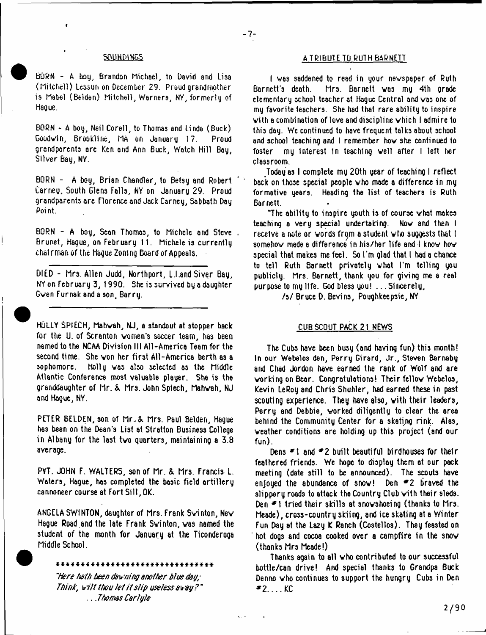BORN - A boy, Brandon Michael, to David and Lisa (Mitchell) Lessuri on December 29. Proud grandmother is Mabel (Belden) Mitchell, Warners, NY, formerly of Hague.

BORN - A boy, Neil Corell, to Thomas and Linda (Buck) Goodwin, Brookline, MA on January 17. Proud grandparents ore Ken ond Ann Buck, Watch Hill Bay, Silver Bay, NY.

BORN - A boy, Brian Chandler, to Betsy and Robert Carney, South Glens Falls, NY on January 29. Proud grandparents arc Florence and Jack Carney, Sabbath Day Point.

BORN - A boy, Sean Thomas, to Michele ond Steve , Brunet, Hague, on February 11. Michele is currently chalrmanof the Hague Zoning Board of Appeals.

DIED - Mrs. Allen Judd, Northport, L.I.and Siver Bay, NY on February 3, 1990. She is survived by a daughter Gven Furnak and a son, Barry.

HOLLY SPIECH, Mahvah, NJ, a standout at stopper hack for the U. of Scranton women's soccer team, has been named to the NCAA Division III All-America Team for the second time. She von her first All-America berth as a sophomore. Holly vas also selected as the Middle Atlantic Conference most valuable player. She is the granddaughter of Mr. & Mrs. John Spiech, Mahvah, NJ and Hague, NY.

PETER BELDEN, son of Mr.,& Mrs. Paul Belden, Hague has been on the Dean's List at Stratton Business College in Albany for the last tvo quarters, maintaining a 3.8 average.

PYT. JOHN F. WALTERS, son of Mr. & Mrs. Francis L. Waters, Hague, has completed the basic field artillery cannoneer course at Fort Sill, OK.

ANGELA SWINTON, daughter of Mrs. Frank Svinton, Nev Hague Road and the late Frank Svinton, vas named the student of the month for January at the Ticonderoga Middle School.

44444444444444444444444444444444

*"'Here bath been dawning another blue day; Think, wilt tbou let it a/ip useless away* ? " .. *.ThomasCarlyle*

## **A TRIBUTE TO RUTH BARNETT**

I was saddened to read in your newspaper of Ruth<br>Barnett's death. Mrs. Barnett was mu 4th grade Mrs. Barnett was my 4th grade elementary school teacher at Hague Central and vas one of my favorite teachers. She had that rare ability to inspire vith a combination oflove and discipline which I admire to this day. We continued to have frequent talks about school and school teaching and I remember hov she continued to foster my interest In teaching veil after I left tier classroom.

Today as I complete my 20th year of teaching I reflect back on those special people vho made a difference in my formative years. Heading the list of teachers is Ruth Barnett.

"The ability to inspire youth is of course vhat makes teaching a very special undertaking. Nov and then I receive a note or words from a student who suggests that I somehow mede a difference in his/her life and I know how special that makes me feel. So I'm glad that I had a chance to tell Ruth Barnett privately vhat I'm telling you publicly. Mrs. Barnett, thank you for giving me a real purpose to my life. God bless you! .. .Sincerely,

*h i* Bruce D. Bevins, Poughkeepsie, NY

## CUB SCOUT PACK 21 NEWS

The Cubs have been busy (and having fun) this month! In our Webelos den, Perry Girard, Jr., Steven Barnaby arid Chad Jordon have earned the rank of Wolf and are working on Bear. Congratulations! Their fellow Webelos, Kevin LeRoy and Chris Shuhler, had earned these in past scouting experience. They have also, vith their leaders, Perry and Debbie, worked diligently to clear the area behind the Community Center for a skating rink. Alas, veather conditions are holding up this project (and our fun).

Dens \*1 and *\*2* built beautiful birdhouses for their feathered friends. We hope to display them at our pack meeting (date still to be announced). The scouts have enjoyed the abundance of snow! Den  $\neq$  2 braved the slippery roads to attack the Country Club with their sleds. Den \*1 tried their skills at snovshoeing (thanks to Mrs. Meade), cross-country skiing, and ice skating at a Winter Fun Day at the Lazy K Ranch (Costellos). They feasted on hot dogs and cocoa cooked over a campfire in the snow (thanks Mrs Meade!)

Thanks again to all vho contributed to our successful bottle/can drive! And special thanks to Grandpa Buck Denno vho continues to support the hungry Cubs in Den  $92.000$